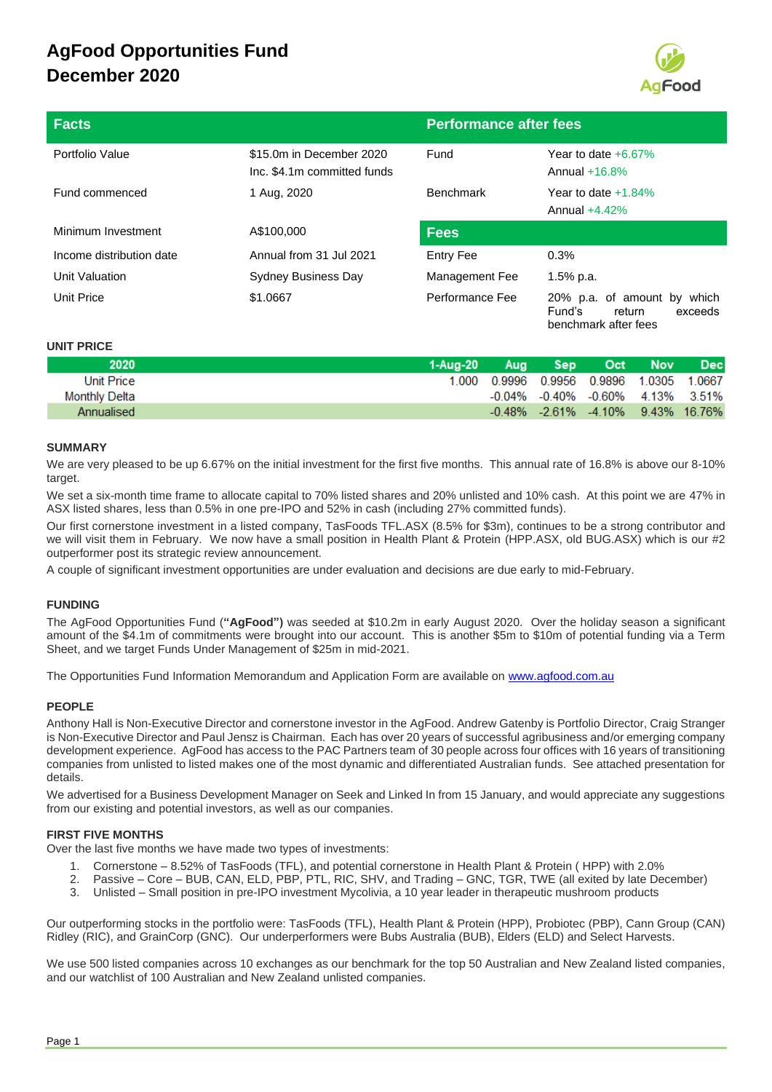

| <b>Facts</b>             |                                                         | <b>Performance after fees</b> |                                                               |  |
|--------------------------|---------------------------------------------------------|-------------------------------|---------------------------------------------------------------|--|
| Portfolio Value          | \$15.0m in December 2020<br>Inc. \$4.1m committed funds | Fund                          | Year to date $+6.67\%$<br>Annual $+16.8\%$                    |  |
| Fund commenced           | 1 Aug, 2020                                             | <b>Benchmark</b>              | Year to date $+1.84\%$<br>Annual $+4.42\%$                    |  |
| Minimum Investment       | A\$100,000                                              | <b>Fees</b>                   |                                                               |  |
| Income distribution date | Annual from 31 Jul 2021                                 | Entry Fee                     | 0.3%                                                          |  |
| Unit Valuation           | <b>Sydney Business Day</b>                              | Management Fee                | 1.5% p.a.                                                     |  |
| Unit Price               | \$1,0667                                                | Performance Fee               | which<br>20% p.a. of amount by<br>Fund's<br>exceeds<br>return |  |

benchmark after fees

## **UNIT PRICE**

| 2020          | 1-Aua-20 | <b>Aug</b> | Sep <sup>1</sup>                                | Oct Nov | <b>Dec</b> |
|---------------|----------|------------|-------------------------------------------------|---------|------------|
| Unit Price    | 1.000 -  |            | 0.9996 0.9956 0.9896 1.0305 1.0667              |         |            |
| Monthly Delta |          |            | $-0.04\%$ $-0.40\%$ $-0.60\%$ $4.13\%$ $3.51\%$ |         |            |
| Annualised    |          |            | $-0.48\%$ $-2.61\%$ $-4.10\%$ $9.43\%$ 16.76%   |         |            |

## **SUMMARY**

We are very pleased to be up 6.67% on the initial investment for the first five months. This annual rate of 16.8% is above our 8-10% target.

We set a six-month time frame to allocate capital to 70% listed shares and 20% unlisted and 10% cash. At this point we are 47% in ASX listed shares, less than 0.5% in one pre-IPO and 52% in cash (including 27% committed funds).

Our first cornerstone investment in a listed company, TasFoods TFL.ASX (8.5% for \$3m), continues to be a strong contributor and we will visit them in February. We now have a small position in Health Plant & Protein (HPP.ASX, old BUG.ASX) which is our #2 outperformer post its strategic review announcement.

A couple of significant investment opportunities are under evaluation and decisions are due early to mid-February.

## **FUNDING**

The AgFood Opportunities Fund (**"AgFood")** was seeded at \$10.2m in early August 2020. Over the holiday season a significant amount of the \$4.1m of commitments were brought into our account. This is another \$5m to \$10m of potential funding via a Term Sheet, and we target Funds Under Management of \$25m in mid-2021.

The Opportunities Fund Information Memorandum and Application Form are available on [www.agfood.com.au](http://www.agfood.com.au/)

## **PEOPLE**

Anthony Hall is Non-Executive Director and cornerstone investor in the AgFood. Andrew Gatenby is Portfolio Director, Craig Stranger is Non-Executive Director and Paul Jensz is Chairman. Each has over 20 years of successful agribusiness and/or emerging company development experience. AgFood has access to the PAC Partners team of 30 people across four offices with 16 years of transitioning companies from unlisted to listed makes one of the most dynamic and differentiated Australian funds. See attached presentation for details.

We advertised for a Business Development Manager on Seek and Linked In from 15 January, and would appreciate any suggestions from our existing and potential investors, as well as our companies.

## **FIRST FIVE MONTHS**

Over the last five months we have made two types of investments:

- 1. Cornerstone 8.52% of TasFoods (TFL), and potential cornerstone in Health Plant & Protein ( HPP) with 2.0%
- 2. Passive Core BUB, CAN, ELD, PBP, PTL, RIC, SHV, and Trading GNC, TGR, TWE (all exited by late December)
- 3. Unlisted Small position in pre-IPO investment Mycolivia, a 10 year leader in therapeutic mushroom products

Our outperforming stocks in the portfolio were: TasFoods (TFL), Health Plant & Protein (HPP), Probiotec (PBP), Cann Group (CAN) Ridley (RIC), and GrainCorp (GNC). Our underperformers were Bubs Australia (BUB), Elders (ELD) and Select Harvests.

We use 500 listed companies across 10 exchanges as our benchmark for the top 50 Australian and New Zealand listed companies, and our watchlist of 100 Australian and New Zealand unlisted companies.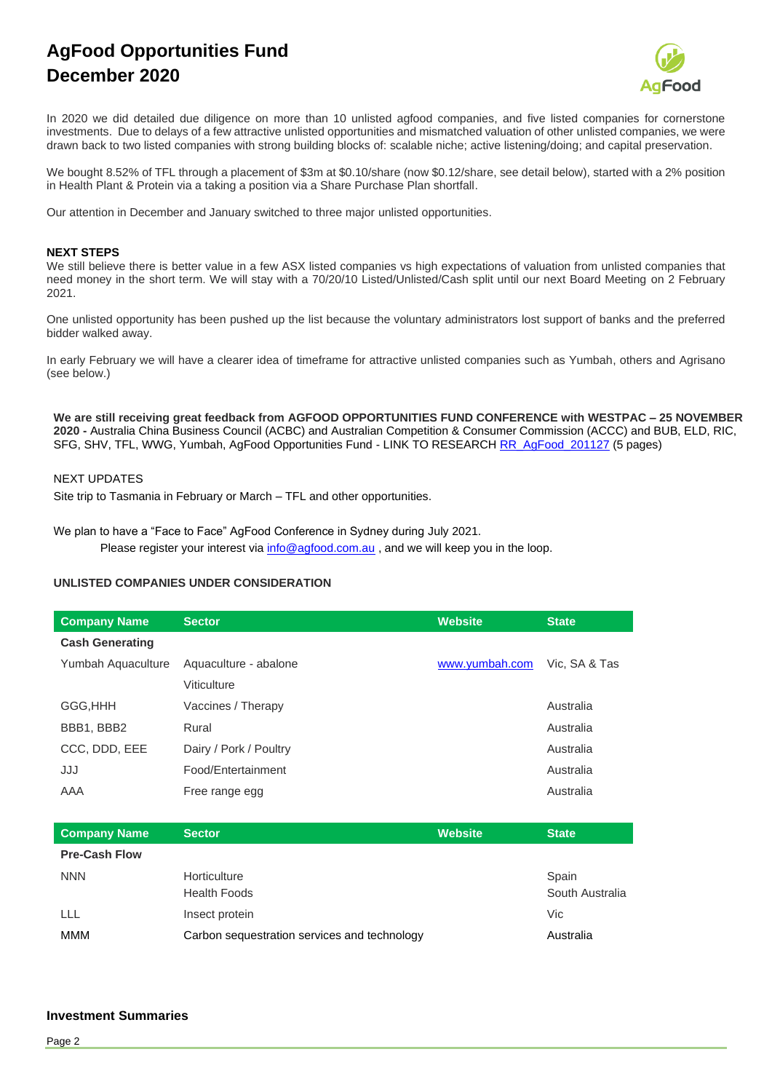

In 2020 we did detailed due diligence on more than 10 unlisted agfood companies, and five listed companies for cornerstone investments. Due to delays of a few attractive unlisted opportunities and mismatched valuation of other unlisted companies, we were drawn back to two listed companies with strong building blocks of: scalable niche; active listening/doing; and capital preservation.

We bought 8.52% of TFL through a placement of \$3m at \$0.10/share (now \$0.12/share, see detail below), started with a 2% position in Health Plant & Protein via a taking a position via a Share Purchase Plan shortfall.

Our attention in December and January switched to three major unlisted opportunities.

## **NEXT STEPS**

We still believe there is better value in a few ASX listed companies vs high expectations of valuation from unlisted companies that need money in the short term. We will stay with a 70/20/10 Listed/Unlisted/Cash split until our next Board Meeting on 2 February 2021.

One unlisted opportunity has been pushed up the list because the voluntary administrators lost support of banks and the preferred bidder walked away.

In early February we will have a clearer idea of timeframe for attractive unlisted companies such as Yumbah, others and Agrisano (see below.)

**We are still receiving great feedback from AGFOOD OPPORTUNITIES FUND CONFERENCE with WESTPAC – 25 NOVEMBER 2020 -** Australia China Business Council (ACBC) and Australian Competition & Consumer Commission (ACCC) and BUB, ELD, RIC, SFG, SHV, TFL, WWG, Yumbah, AgFood Opportunities Fund - LINK TO RESEARCH [RR\\_AgFood\\_201127](https://mcusercontent.com/d840bc7fc0c9b4c680a242d0a/files/ae62cd90-f083-47d8-868d-9097197943df/RR_AgFood_Summary_201127.01.pdf) (5 pages)

## NEXT UPDATES

Site trip to Tasmania in February or March – TFL and other opportunities.

We plan to have a "Face to Face" AgFood Conference in Sydney during July 2021.

Please register your interest via [info@agfood.com.au](mailto:info@agfood.com.au), and we will keep you in the loop.

## **UNLISTED COMPANIES UNDER CONSIDERATION**

| <b>Company Name</b>    | Sector                 | <b>Website</b> | <b>State</b>  |
|------------------------|------------------------|----------------|---------------|
| <b>Cash Generating</b> |                        |                |               |
| Yumbah Aquaculture     | Aquaculture - abalone  | www.yumbah.com | Vic. SA & Tas |
|                        | Viticulture            |                |               |
| GGG, HHH               | Vaccines / Therapy     |                | Australia     |
| BBB1, BBB2             | Rural                  |                | Australia     |
| CCC, DDD, EEE          | Dairy / Pork / Poultry |                | Australia     |
| JJJ                    | Food/Entertainment     |                | Australia     |
| AAA                    | Free range egg         |                | Australia     |
|                        |                        |                |               |

| <b>Company Name</b>  | <b>Sector</b>                                | <b>Website</b> | <b>State</b>    |
|----------------------|----------------------------------------------|----------------|-----------------|
| <b>Pre-Cash Flow</b> |                                              |                |                 |
| <b>NNN</b>           | Horticulture                                 |                | Spain           |
|                      | <b>Health Foods</b>                          |                | South Australia |
| LLL                  | Insect protein                               |                | Vic             |
| <b>MMM</b>           | Carbon sequestration services and technology |                | Australia       |

## **Investment Summaries**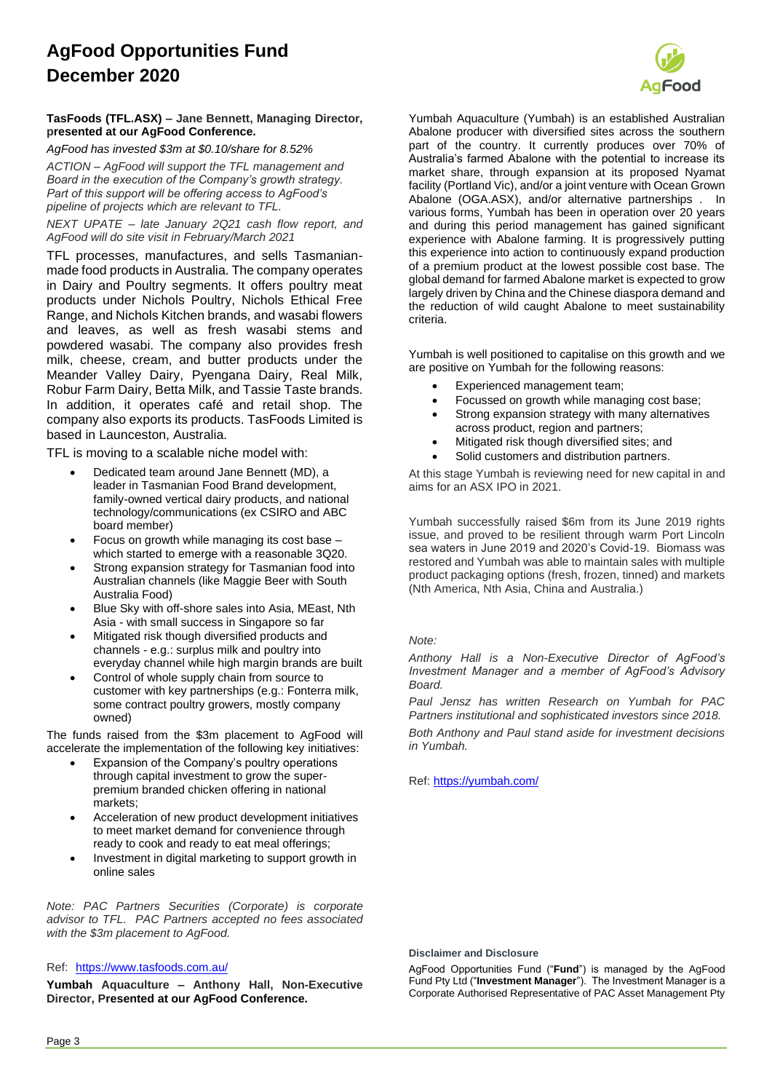

## **TasFoods (TFL.ASX) – Jane Bennett, Managing Director, presented at our AgFood Conference.**

*AgFood has invested \$3m at \$0.10/share for 8.52% ACTION – AgFood will support the TFL management and* 

*Board in the execution of the Company's growth strategy. Part of this support will be offering access to AgFood's pipeline of projects which are relevant to TFL.*

*NEXT UPATE – late January 2Q21 cash flow report, and AgFood will do site visit in February/March 2021*

TFL processes, manufactures, and sells Tasmanianmade food products in Australia. The company operates in Dairy and Poultry segments. It offers poultry meat products under Nichols Poultry, Nichols Ethical Free Range, and Nichols Kitchen brands, and wasabi flowers and leaves, as well as fresh wasabi stems and powdered wasabi. The company also provides fresh milk, cheese, cream, and butter products under the Meander Valley Dairy, Pyengana Dairy, Real Milk, Robur Farm Dairy, Betta Milk, and Tassie Taste brands. In addition, it operates café and retail shop. The company also exports its products. TasFoods Limited is based in Launceston, Australia.

TFL is moving to a scalable niche model with:

- Dedicated team around Jane Bennett (MD), a leader in Tasmanian Food Brand development, family-owned vertical dairy products, and national technology/communications (ex CSIRO and ABC board member)
- Focus on growth while managing its cost base which started to emerge with a reasonable 3Q20.
- Strong expansion strategy for Tasmanian food into Australian channels (like Maggie Beer with South Australia Food)
- Blue Sky with off-shore sales into Asia, MEast, Nth Asia - with small success in Singapore so far
- Mitigated risk though diversified products and channels - e.g.: surplus milk and poultry into everyday channel while high margin brands are built
- Control of whole supply chain from source to customer with key partnerships (e.g.: Fonterra milk, some contract poultry growers, mostly company owned)

The funds raised from the \$3m placement to AgFood will accelerate the implementation of the following key initiatives:

- Expansion of the Company's poultry operations through capital investment to grow the superpremium branded chicken offering in national markets;
- Acceleration of new product development initiatives to meet market demand for convenience through ready to cook and ready to eat meal offerings;
- Investment in digital marketing to support growth in online sales

*Note: PAC Partners Securities (Corporate) is corporate advisor to TFL. PAC Partners accepted no fees associated with the \$3m placement to AgFood.*

## Ref: https://www.tasfoods.com.au/

**Yumbah Aquaculture – Anthony Hall, Non-Executive Director, Presented at our AgFood Conference.**

Yumbah Aquaculture (Yumbah) is an established Australian Abalone producer with diversified sites across the southern part of the country. It currently produces over 70% of Australia's farmed Abalone with the potential to increase its market share, through expansion at its proposed Nyamat facility (Portland Vic), and/or a joint venture with Ocean Grown Abalone (OGA.ASX), and/or alternative partnerships . In various forms, Yumbah has been in operation over 20 years and during this period management has gained significant experience with Abalone farming. It is progressively putting this experience into action to continuously expand production of a premium product at the lowest possible cost base. The global demand for farmed Abalone market is expected to grow largely driven by China and the Chinese diaspora demand and the reduction of wild caught Abalone to meet sustainability criteria.

Yumbah is well positioned to capitalise on this growth and we are positive on Yumbah for the following reasons:

- Experienced management team;
- Focussed on growth while managing cost base;
- Strong expansion strategy with many alternatives across product, region and partners;
- Mitigated risk though diversified sites; and
- Solid customers and distribution partners.

At this stage Yumbah is reviewing need for new capital in and aims for an ASX IPO in 2021.

Yumbah successfully raised \$6m from its June 2019 rights issue, and proved to be resilient through warm Port Lincoln sea waters in June 2019 and 2020's Covid-19. Biomass was restored and Yumbah was able to maintain sales with multiple product packaging options (fresh, frozen, tinned) and markets (Nth America, Nth Asia, China and Australia.)

## *Note:*

*Anthony Hall is a Non-Executive Director of AgFood's Investment Manager and a member of AgFood's Advisory Board.*

*Paul Jensz has written Research on Yumbah for PAC Partners institutional and sophisticated investors since 2018.*

*Both Anthony and Paul stand aside for investment decisions in Yumbah.*

Ref:<https://yumbah.com/>

## **Disclaimer and Disclosure**

AgFood Opportunities Fund ("**Fund**") is managed by the AgFood Fund Pty Ltd ("**Investment Manager**"). The Investment Manager is a Corporate Authorised Representative of PAC Asset Management Pty